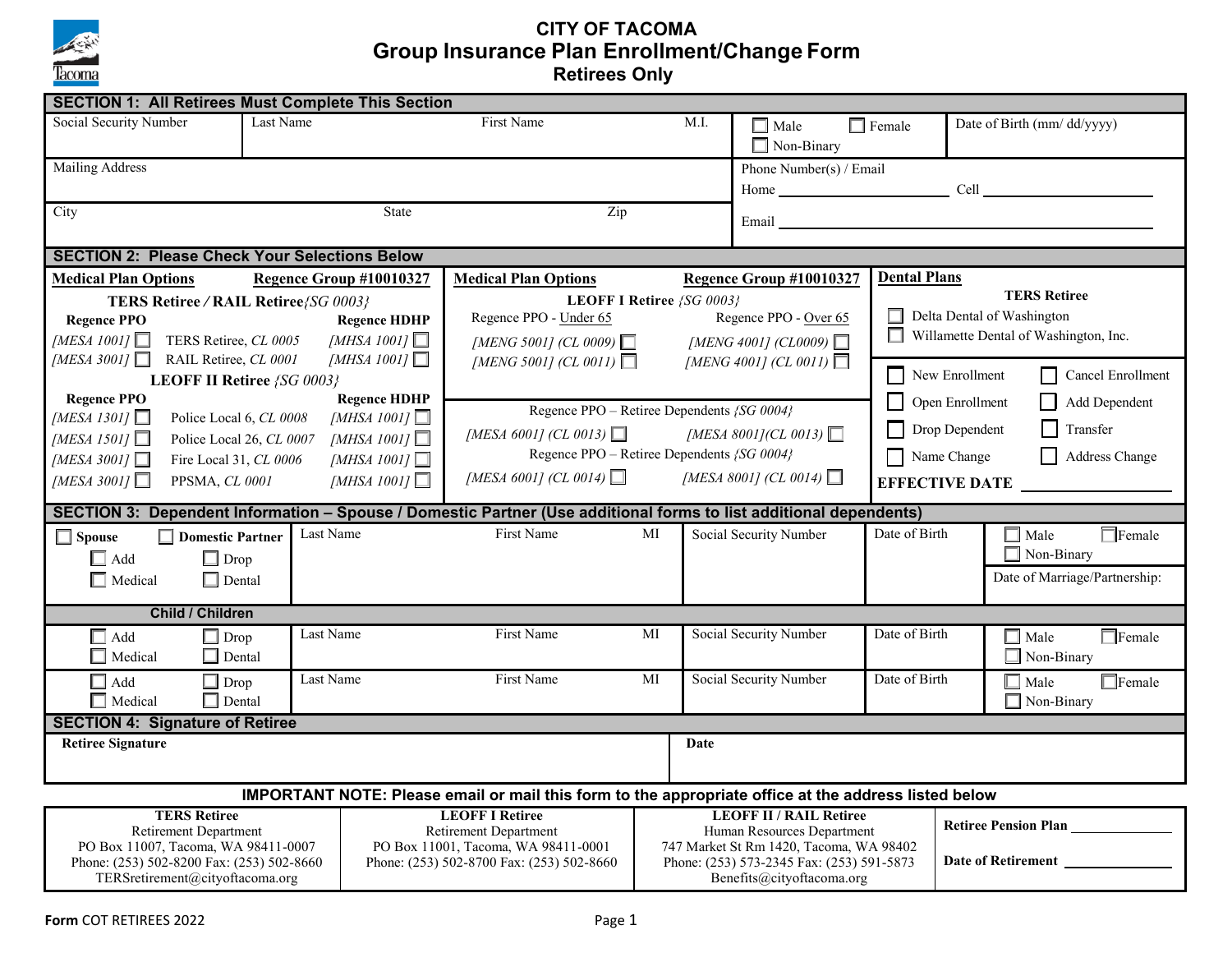

## **CITY OF TACOMA Group Insurance Plan Enrollment/Change Form Retirees Only**

| <b>SECTION 1: All Retirees Must Complete This Section</b>                                                                  |                                        |                                                              |                                                                                  |                                                                                      |                                |                                                   |                                       |                            |                                       |  |  |  |
|----------------------------------------------------------------------------------------------------------------------------|----------------------------------------|--------------------------------------------------------------|----------------------------------------------------------------------------------|--------------------------------------------------------------------------------------|--------------------------------|---------------------------------------------------|---------------------------------------|----------------------------|---------------------------------------|--|--|--|
| Social Security Number<br>Last Name                                                                                        |                                        |                                                              | First Name<br>M.I.                                                               |                                                                                      |                                | $\Box$ Female<br>$\Box$ Male<br>$\Box$ Non-Binary |                                       | Date of Birth (mm/dd/yyyy) |                                       |  |  |  |
| Mailing Address                                                                                                            |                                        |                                                              |                                                                                  |                                                                                      |                                | Phone Number(s) / Email                           |                                       |                            |                                       |  |  |  |
|                                                                                                                            |                                        |                                                              |                                                                                  |                                                                                      |                                |                                                   |                                       |                            | Home Cell Cell                        |  |  |  |
| City                                                                                                                       |                                        | <b>State</b>                                                 | Zip                                                                              |                                                                                      |                                |                                                   |                                       |                            |                                       |  |  |  |
|                                                                                                                            |                                        |                                                              |                                                                                  |                                                                                      |                                | Email                                             |                                       |                            |                                       |  |  |  |
| <b>SECTION 2: Please Check Your Selections Below</b>                                                                       |                                        |                                                              |                                                                                  |                                                                                      |                                |                                                   |                                       |                            |                                       |  |  |  |
| <b>Medical Plan Options</b>                                                                                                |                                        | Regence Group #10010327                                      | <b>Medical Plan Options</b>                                                      |                                                                                      |                                | Regence Group #10010327                           | <b>Dental Plans</b>                   |                            |                                       |  |  |  |
| TERS Retiree/RAIL Retiree/SG 0003}                                                                                         |                                        |                                                              | LEOFF I Retiree {SG 0003}                                                        |                                                                                      |                                |                                                   | <b>TERS Retiree</b>                   |                            |                                       |  |  |  |
| <b>Regence PPO</b>                                                                                                         |                                        | Regence PPO - Under 65<br>Regence PPO - Over 65              |                                                                                  |                                                                                      |                                | Delta Dental of Washington                        |                                       |                            |                                       |  |  |  |
| [MESA 1001] $\Box$                                                                                                         | TERS Retiree, CL 0005                  | [MHSA 1001]<br>[MHSA 1001] $\Box$                            | [MENG 5001] (CL 0009) $\Box$                                                     |                                                                                      |                                | [MENG 4001] (CL0009) $\Box$                       | $\Box$                                |                            | Willamette Dental of Washington, Inc. |  |  |  |
| [MESA 3001] $\Box$                                                                                                         | RAIL Retiree, CL 0001                  | [MENG 5001] (CL 0011) $\Box$<br>[MENG 4001] (CL 0011) $\Box$ |                                                                                  |                                                                                      |                                | New Enrollment                                    |                                       |                            |                                       |  |  |  |
|                                                                                                                            | LEOFF II Retiree {SG 0003}             |                                                              |                                                                                  |                                                                                      |                                |                                                   | $\Box$                                |                            | Cancel Enrollment                     |  |  |  |
| <b>Regence PPO</b>                                                                                                         |                                        | <b>Regence HDHP</b>                                          | Regence PPO - Retiree Dependents {SG 0004}                                       |                                                                                      |                                |                                                   | П<br>Open Enrollment<br>Add Dependent |                            |                                       |  |  |  |
| [MESA 1301] $\Box$<br>Police Local 6, CL 0008<br>[MHSA 1001] $\Box$                                                        |                                        |                                                              | [MESA 8001](CL 0013) $\Box$                                                      |                                                                                      |                                |                                                   | Drop Dependent<br>Transfer<br>П       |                            |                                       |  |  |  |
| [MESA 6001] (CL 0013) $\Box$<br>[MESA 1501] $\Box$<br>[MHSA 1001] $\Box$<br>Police Local 26, CL 0007<br>[MHSA 1001] $\Box$ |                                        |                                                              |                                                                                  |                                                                                      |                                |                                                   |                                       |                            |                                       |  |  |  |
| [MESA 3001] $\Box$                                                                                                         | Fire Local 31, CL 0006                 | Regence PPO - Retiree Dependents {SG 0004}                   |                                                                                  |                                                                                      |                                | П<br>Name Change<br>Address Change                |                                       |                            |                                       |  |  |  |
| [MESA 3001] $\Box$                                                                                                         | PPSMA, CL 0001                         | [MHSA 1001] $\Box$                                           | [MESA 6001] (CL 0014) $\Box$                                                     |                                                                                      |                                | [MESA 8001] (CL 0014) $\Box$                      |                                       |                            | EFFECTIVE DATE                        |  |  |  |
| SECTION 3: Dependent Information - Spouse / Domestic Partner (Use additional forms to list additional dependents)          |                                        |                                                              |                                                                                  |                                                                                      |                                |                                                   |                                       |                            |                                       |  |  |  |
| $\Box$ Spouse                                                                                                              | $\Box$ Domestic Partner                | Last Name                                                    | First Name                                                                       | MI                                                                                   |                                | Social Security Number                            | Date of Birth                         |                            | $\Box$ Female<br>$\Box$ Male          |  |  |  |
| $\Box$ Add                                                                                                                 | $\Box$ Drop                            |                                                              |                                                                                  |                                                                                      |                                |                                                   |                                       |                            | $\Box$ Non-Binary                     |  |  |  |
| $\Box$ Medical                                                                                                             | $\Box$ Dental                          |                                                              |                                                                                  |                                                                                      |                                |                                                   |                                       |                            | Date of Marriage/Partnership:         |  |  |  |
|                                                                                                                            |                                        |                                                              |                                                                                  |                                                                                      |                                |                                                   |                                       |                            |                                       |  |  |  |
|                                                                                                                            | <b>Child / Children</b>                |                                                              |                                                                                  |                                                                                      |                                |                                                   |                                       |                            |                                       |  |  |  |
| $\operatorname{\mathsf{Add}}$                                                                                              | $\Box$ Drop                            | Last Name                                                    | First Name                                                                       | МI                                                                                   |                                | Social Security Number                            | Date of Birth                         |                            | $\Box$ Female<br>$\Box$ Male          |  |  |  |
| Medical                                                                                                                    | $\Box$ Dental                          |                                                              |                                                                                  |                                                                                      |                                |                                                   |                                       |                            | $\Box$ Non-Binary                     |  |  |  |
| $\Box$ Add                                                                                                                 | $\Box$ Drop                            | Last Name                                                    | First Name                                                                       | MI                                                                                   |                                | Social Security Number                            | Date of Birth                         |                            | $\Box$ Female<br>$\Box$ Male          |  |  |  |
| $\Box$ Medical                                                                                                             | $\Box$ Dental                          |                                                              |                                                                                  |                                                                                      |                                |                                                   |                                       |                            | $\Box$ Non-Binary                     |  |  |  |
|                                                                                                                            | <b>SECTION 4: Signature of Retiree</b> |                                                              |                                                                                  |                                                                                      |                                |                                                   |                                       |                            |                                       |  |  |  |
| <b>Retiree Signature</b>                                                                                                   |                                        |                                                              | Date                                                                             |                                                                                      |                                |                                                   |                                       |                            |                                       |  |  |  |
|                                                                                                                            |                                        |                                                              |                                                                                  |                                                                                      |                                |                                                   |                                       |                            |                                       |  |  |  |
| IMPORTANT NOTE: Please email or mail this form to the appropriate office at the address listed below                       |                                        |                                                              |                                                                                  |                                                                                      |                                |                                                   |                                       |                            |                                       |  |  |  |
| <b>TERS Retiree</b>                                                                                                        |                                        |                                                              | <b>LEOFF I Retiree</b>                                                           |                                                                                      | <b>LEOFF II / RAIL Retiree</b> |                                                   | <b>Retiree Pension Plan</b>           |                            |                                       |  |  |  |
| Retirement Department                                                                                                      |                                        |                                                              | <b>Retirement Department</b>                                                     |                                                                                      | Human Resources Department     |                                                   |                                       |                            |                                       |  |  |  |
| PO Box 11007, Tacoma, WA 98411-0007<br>Phone: (253) 502-8200 Fax: (253) 502-8660                                           |                                        |                                                              | PO Box 11001, Tacoma, WA 98411-0001<br>Phone: (253) 502-8700 Fax: (253) 502-8660 | 747 Market St Rm 1420, Tacoma, WA 98402<br>Phone: (253) 573-2345 Fax: (253) 591-5873 |                                |                                                   | Date of Retirement                    |                            |                                       |  |  |  |
|                                                                                                                            | TERS retirement@city of tacoma.org     |                                                              |                                                                                  |                                                                                      | Benefits@cityoftacoma.org      |                                                   |                                       |                            |                                       |  |  |  |